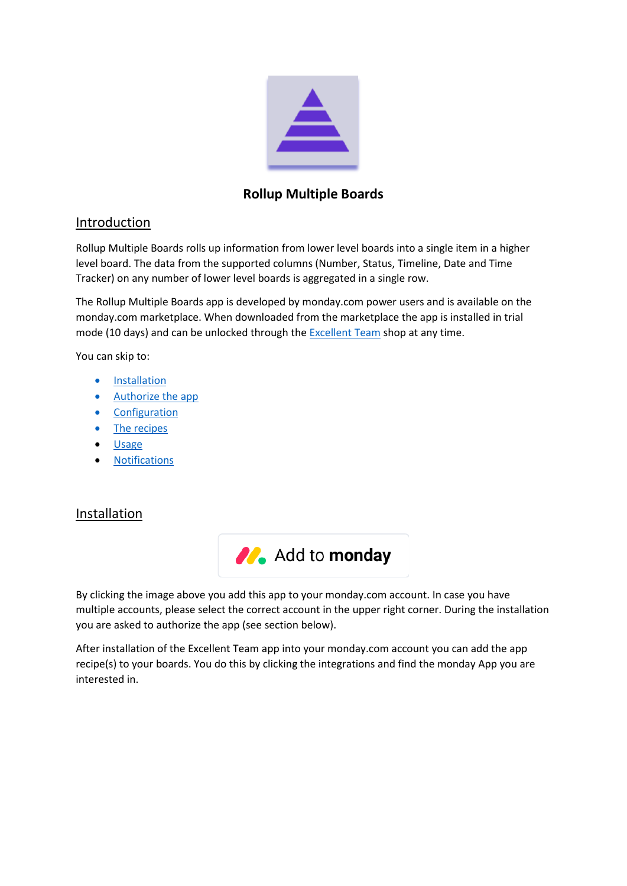

# **Rollup Multiple Boards**

# Introduction

Rollup Multiple Boards rolls up information from lower level boards into a single item in a higher level board. The data from the supported columns (Number, Status, Timeline, Date and Time Tracker) on any number of lower level boards is aggregated in a single row.

The Rollup Multiple Boards app is developed by monday.com power users and is available on the monday.com marketplace. When downloaded from the marketplace the app is installed in trial mode (10 days) and can be unlocked through th[e Excellent Team](https://excellent-team.nl/solutions/) shop at any time.

You can skip to:

- [Installation](#page-0-0)
- [Authorize the app](#page-1-0)
- [Configuration](#page-2-0)
- [The recipes](#page-4-0)
- [Usage](#page-10-0)
- **[Notifications](#page-12-0)**

# <span id="page-0-0"></span>Installation



By clicking the image above you add this app to your monday.com account. In case you have multiple accounts, please select the correct account in the upper right corner. During the installation you are asked to authorize the app (see section below).

After installation of the Excellent Team app into your monday.com account you can add the app recipe(s) to your boards. You do this by clicking the integrations and find the monday App you are interested in.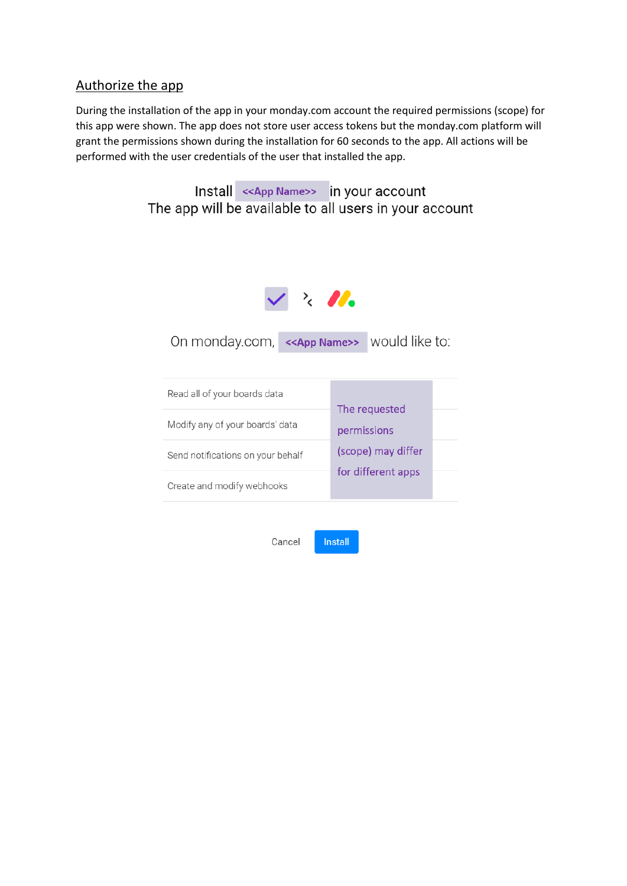# <span id="page-1-0"></span>Authorize the app

During the installation of the app in your monday.com account the required permissions (scope) for this app were shown. The app does not store user access tokens but the monday.com platform will grant the permissions shown during the installation for 60 seconds to the app. All actions will be performed with the user credentials of the user that installed the app.

> Install << App Name>> in your account The app will be available to all users in your account



On monday.com, << App Name>> would like to:

| Read all of your boards data      | The requested      |  |
|-----------------------------------|--------------------|--|
| Modify any of your boards' data   | permissions        |  |
| Send notifications on your behalf | (scope) may differ |  |
| Create and modify webhooks        | for different apps |  |

Cancel Install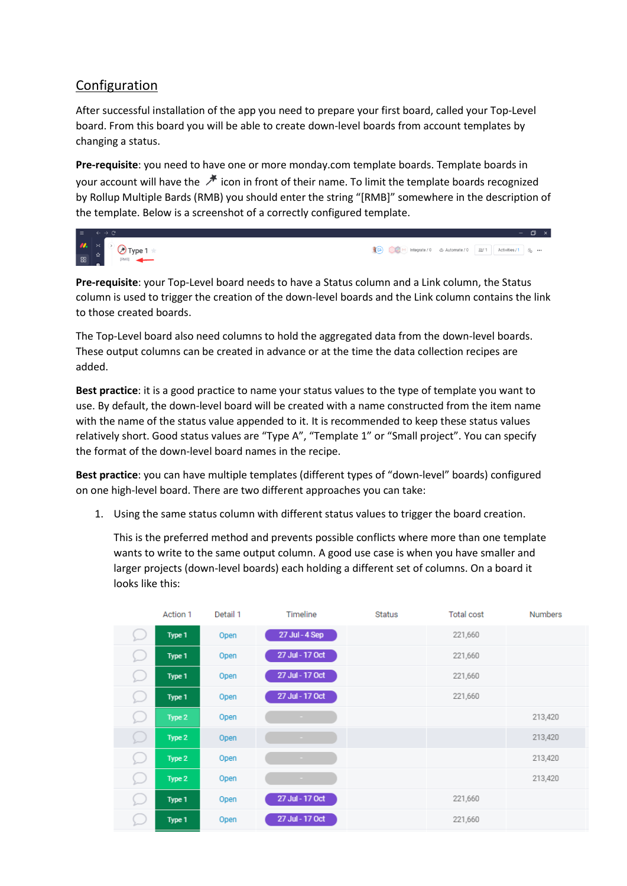# <span id="page-2-0"></span>Configuration

After successful installation of the app you need to prepare your first board, called your Top-Level board. From this board you will be able to create down-level boards from account templates by changing a status.

**Pre-requisite**: you need to have one or more monday.com template boards. Template boards in your account will have the  $\mathcal{F}$  icon in front of their name. To limit the template boards recognized by Rollup Multiple Bards (RMB) you should enter the string "[RMB]" somewhere in the description of the template. Below is a screenshot of a correctly configured template.



**Pre-requisite**: your Top-Level board needs to have a Status column and a Link column, the Status column is used to trigger the creation of the down-level boards and the Link column contains the link to those created boards.

The Top-Level board also need columns to hold the aggregated data from the down-level boards. These output columns can be created in advance or at the time the data collection recipes are added.

**Best practice**: it is a good practice to name your status values to the type of template you want to use. By default, the down-level board will be created with a name constructed from the item name with the name of the status value appended to it. It is recommended to keep these status values relatively short. Good status values are "Type A", "Template 1" or "Small project". You can specify the format of the down-level board names in the recipe.

**Best practice**: you can have multiple templates (different types of "down-level" boards) configured on one high-level board. There are two different approaches you can take:

1. Using the same status column with different status values to trigger the board creation.

This is the preferred method and prevents possible conflicts where more than one template wants to write to the same output column. A good use case is when you have smaller and larger projects (down-level boards) each holding a different set of columns. On a board it looks like this:

|   | Action 1 | Detail 1 | Timeline        | <b>Status</b> | <b>Total cost</b> | <b>Numbers</b> |
|---|----------|----------|-----------------|---------------|-------------------|----------------|
| ⊵ | Type 1   | Open     | 27 Jul - 4 Sep  |               | 221,660           |                |
| ⊆ | Type 1   | Open     | 27 Jul - 17 Oct |               | 221,660           |                |
| L | Type 1   | Open     | 27 Jul - 17 Oct |               | 221,660           |                |
| ⊆ | Type 1   | Open     | 27 Jul - 17 Oct |               | 221,660           |                |
| Q | Type 2   | Open     | ×.              |               |                   | 213,420        |
| ⊆ | Type 2   | Open     | $\sim$          |               |                   | 213,420        |
| ⊆ | Type 2   | Open     | $\sim$          |               |                   | 213,420        |
| ⊆ | Type 2   | Open     |                 |               |                   | 213,420        |
| C | Type 1   | Open     | 27 Jul - 17 Oct |               | 221,660           |                |
| └ | Type 1   | Open     | 27 Jul - 17 Oct |               | 221,660           |                |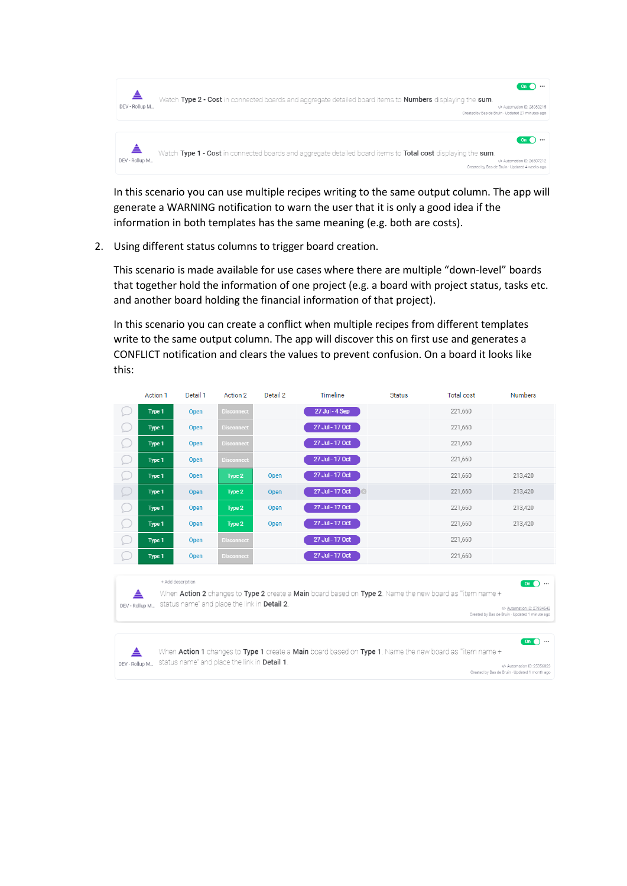

In this scenario you can use multiple recipes writing to the same output column. The app will generate a WARNING notification to warn the user that it is only a good idea if the information in both templates has the same meaning (e.g. both are costs).

2. Using different status columns to trigger board creation.

This scenario is made available for use cases where there are multiple "down-level" boards that together hold the information of one project (e.g. a board with project status, tasks etc. and another board holding the financial information of that project).

In this scenario you can create a conflict when multiple recipes from different templates write to the same output column. The app will discover this on first use and generates a CONFLICT notification and clears the values to prevent confusion. On a board it looks like this:

|                                                                                                                                                                                                                                    | Action 1 | Detail 1 | Action 2          | Detail 2 | Timeline                  | <b>Status</b> | <b>Total cost</b> | <b>Numbers</b> |
|------------------------------------------------------------------------------------------------------------------------------------------------------------------------------------------------------------------------------------|----------|----------|-------------------|----------|---------------------------|---------------|-------------------|----------------|
|                                                                                                                                                                                                                                    | Type 1   | Open     | <b>Disconnect</b> |          | 27 Jul - 4 Sep            |               | 221,660           |                |
|                                                                                                                                                                                                                                    | Type 1   | Open     | <b>Disconnect</b> |          | 27 Jul - 17 Oct           |               | 221,660           |                |
|                                                                                                                                                                                                                                    | Type 1   | Open     | <b>Disconnect</b> |          | 27 Jul - 17 Oct           |               | 221,660           |                |
|                                                                                                                                                                                                                                    | Type 1   | Open     | <b>Disconnect</b> |          | 27 Jul - 17 Oct           |               | 221,660           |                |
|                                                                                                                                                                                                                                    | Type 1   | Open     | Type 2            | Open     | 27 Jul - 17 Oct           |               | 221,660           | 213,420        |
|                                                                                                                                                                                                                                    | Type 1   | Open     | Type 2            | Open     | 27 Jul - 17 Oct<br>$\Box$ |               | 221,660           | 213,420        |
|                                                                                                                                                                                                                                    | Type 1   | Open     | Type 2            | Open     | 27 Jul - 17 Oct           |               | 221,660           | 213,420        |
|                                                                                                                                                                                                                                    | Type 1   | Open     | Type 2            | Open     | 27 Jul - 17 Oct           |               | 221,660           | 213,420        |
|                                                                                                                                                                                                                                    | Type 1   | Open     | <b>Disconnect</b> |          | 27 Jul - 17 Oct           |               | 221,660           |                |
|                                                                                                                                                                                                                                    | Type 1   | Open     | <b>Disconnect</b> |          | 27 Jul - 17 Oct           |               | 221,660           |                |
| + Add description<br>$On$ $\bullet$ $\cdots$<br>When Action 2 changes to Type 2 create a Main board based on Type 2. Name the new board as "item name +<br>status name" and place the link in <b>Detail 2</b> .<br>DEV - Rollup M. |          |          |                   |          |                           |               |                   |                |

Created by Bas de Bruin - Updated 1 minute ago

On  $\bigcirc$  ... When Action 1 changes to Type 1 create a Main board based on Type 1. Name the new board as "item name +  $\triangle$ DEV-Rollup M... Status name" and place the link in Detail 1. </>Automation ID: 25956023 Created by Bas de Bruin - Updated 1 month ago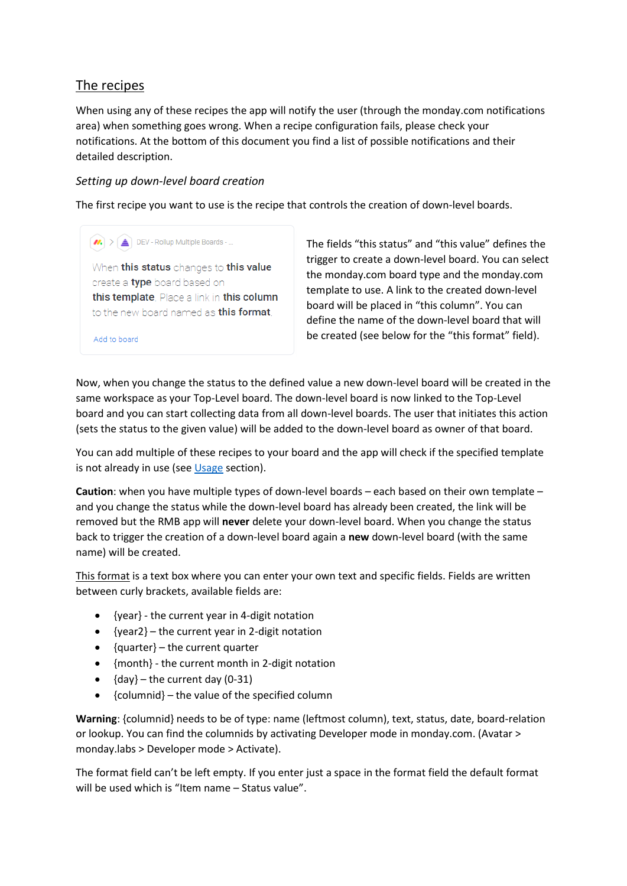# <span id="page-4-0"></span>The recipes

When using any of these recipes the app will notify the user (through the monday.com notifications area) when something goes wrong. When a recipe configuration fails, please check your notifications. At the bottom of this document you find a list of possible notifications and their detailed description.

## *Setting up down-level board creation*

 $\left| \rule{0cm}{0.4cm}\right\rangle$  DEV - Rollup Multiple Boards - ...

The first recipe you want to use is the recipe that controls the creation of down-level boards.

When this status changes to this value create a type board based on this template. Place a link in this column to the new board named as this format.

Add to board

The fields "this status" and "this value" defines the trigger to create a down-level board. You can select the monday.com board type and the monday.com template to use. A link to the created down-level board will be placed in "this column". You can define the name of the down-level board that will be created (see below for the "this format" field).

Now, when you change the status to the defined value a new down-level board will be created in the same workspace as your Top-Level board. The down-level board is now linked to the Top-Level board and you can start collecting data from all down-level boards. The user that initiates this action (sets the status to the given value) will be added to the down-level board as owner of that board.

You can add multiple of these recipes to your board and the app will check if the specified template is not already in use (se[e Usage](#page-10-0) section).

**Caution**: when you have multiple types of down-level boards – each based on their own template – and you change the status while the down-level board has already been created, the link will be removed but the RMB app will **never** delete your down-level board. When you change the status back to trigger the creation of a down-level board again a **new** down-level board (with the same name) will be created.

This format is a text box where you can enter your own text and specific fields. Fields are written between curly brackets, available fields are:

- {year} the current year in 4-digit notation
- ${vec2}$  the current year in 2-digit notation
- {quarter} the current quarter
- {month} the current month in 2-digit notation
- ${day}$  the current day (0-31)
- {columnid} the value of the specified column

**Warning**: {columnid} needs to be of type: name (leftmost column), text, status, date, board-relation or lookup. You can find the columnids by activating Developer mode in monday.com. (Avatar > monday.labs > Developer mode > Activate).

The format field can't be left empty. If you enter just a space in the format field the default format will be used which is "Item name - Status value".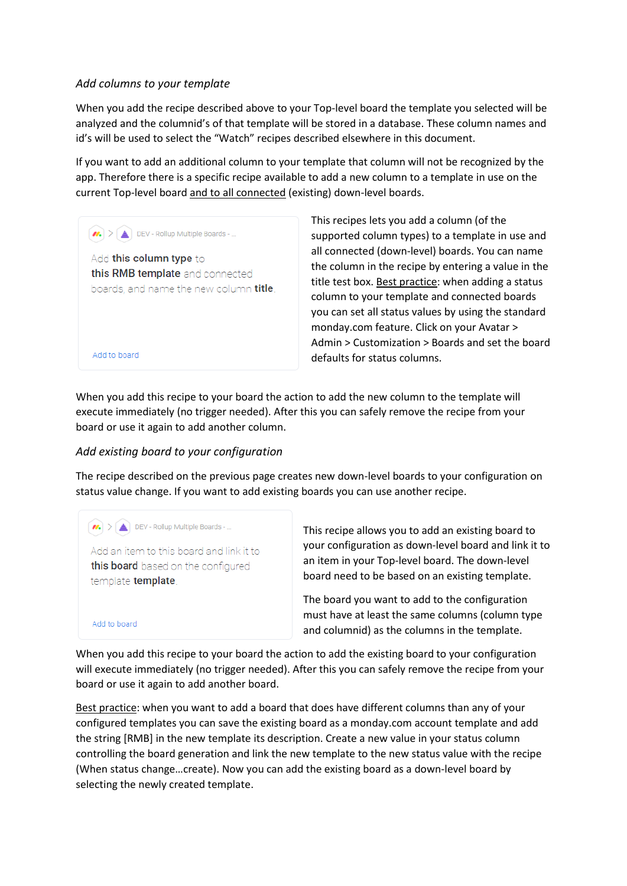#### *Add columns to your template*

When you add the recipe described above to your Top-level board the template you selected will be analyzed and the columnid's of that template will be stored in a database. These column names and id's will be used to select the "Watch" recipes described elsewhere in this document.

If you want to add an additional column to your template that column will not be recognized by the app. Therefore there is a specific recipe available to add a new column to a template in use on the current Top-level board and to all connected (existing) down-level boards.

 $\left| \text{ } \mathbf{M} \right|$  >  $\left| \underline{\mathbf{A}} \right|$  DEV - Rollup Multiple Boards - ...

Add to board

Add to board

Add this column type to this RMB template and connected boards, and name the new column title. This recipes lets you add a column (of the supported column types) to a template in use and all connected (down-level) boards. You can name the column in the recipe by entering a value in the title test box. Best practice: when adding a status column to your template and connected boards you can set all status values by using the standard monday.com feature. Click on your Avatar > Admin > Customization > Boards and set the board defaults for status columns.

When you add this recipe to your board the action to add the new column to the template will execute immediately (no trigger needed). After this you can safely remove the recipe from your board or use it again to add another column.

#### *Add existing board to your configuration*

The recipe described on the previous page creates new down-level boards to your configuration on status value change. If you want to add existing boards you can use another recipe.

 $\left| \bullet \right| > \left| \bullet \right|$  DEV - Rollup Multiple Boards - ... Add an item to this board and link it to this board based on the configured template template.

This recipe allows you to add an existing board to your configuration as down-level board and link it to an item in your Top-level board. The down-level board need to be based on an existing template.

The board you want to add to the configuration must have at least the same columns (column type and columnid) as the columns in the template.

When you add this recipe to your board the action to add the existing board to your configuration will execute immediately (no trigger needed). After this you can safely remove the recipe from your board or use it again to add another board.

Best practice: when you want to add a board that does have different columns than any of your configured templates you can save the existing board as a monday.com account template and add the string [RMB] in the new template its description. Create a new value in your status column controlling the board generation and link the new template to the new status value with the recipe (When status change…create). Now you can add the existing board as a down-level board by selecting the newly created template.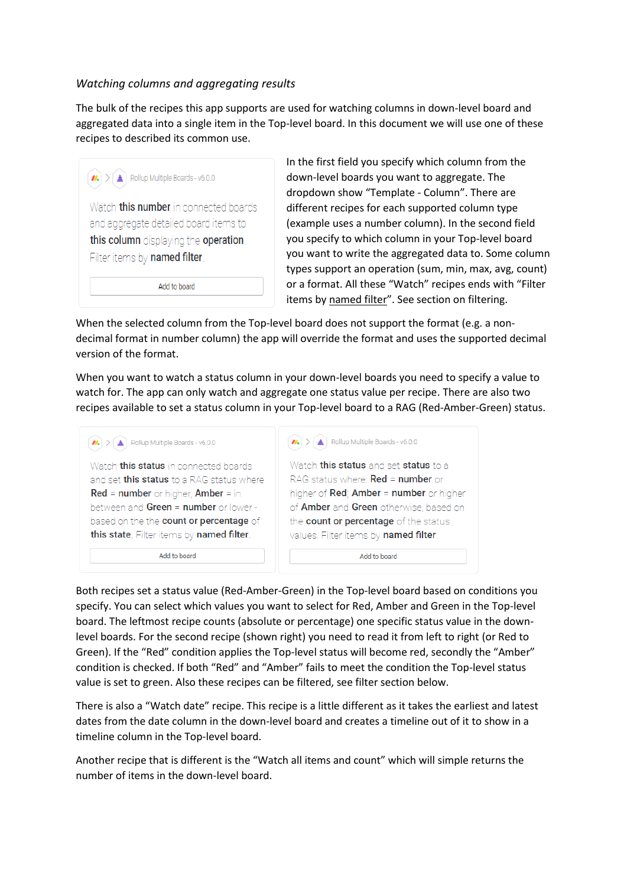#### *Watching columns and aggregating results*

The bulk of the recipes this app supports are used for watching columns in down-level board and aggregated data into a single item in the Top-level board. In this document we will use one of these recipes to described its common use.

| $\left  \boldsymbol{M} \right $ > $\left  \begin{array}{c} \Delta \end{array} \right $ Rollup Multiple Boards - v6.0.0                                          |
|-----------------------------------------------------------------------------------------------------------------------------------------------------------------|
| Watch <b>this number</b> in connected boards<br>and aggregate detailed board items to<br>this column displaying the operation.<br>Filter items by named filter. |
| Add to board                                                                                                                                                    |

In the first field you specify which column from the down-level boards you want to aggregate. The dropdown show "Template - Column". There are different recipes for each supported column type (example uses a number column). In the second field you specify to which column in your Top-level board you want to write the aggregated data to. Some column types support an operation (sum, min, max, avg, count) or a format. All these "Watch" recipes ends with "Filter items by named filter". See section on filtering.

When the selected column from the Top-level board does not support the format (e.g. a nondecimal format in number column) the app will override the format and uses the supported decimal version of the format.

When you want to watch a status column in your down-level boards you need to specify a value to watch for. The app can only watch and aggregate one status value per recipe. There are also two recipes available to set a status column in your Top-level board to a RAG (Red-Amber-Green) status.

| Rollup Multiple Boards - v6.0.0<br>$\mathbf{m}$  | Rollup Multiple Boards - v6.0.0<br>$\vert n \vert$ |
|--------------------------------------------------|----------------------------------------------------|
| Watch <b>this status</b> in connected boards     | Watch this status and set status to a              |
| and set <b>this status</b> to a RAG status where | RAG status where: Red = number or                  |
| $Red = number$ or higher, Amber = in             | higher of Red; Amber = number or higher            |
| between and Green = number or lower -            | of Amber and Green otherwise, based on             |
| based on the the count or percentage of          | the count or percentage of the status              |
| this state. Filter items by named filter.        | values. Filter items by named filter.              |
| Add to board                                     | Add to board                                       |

Both recipes set a status value (Red-Amber-Green) in the Top-level board based on conditions you specify. You can select which values you want to select for Red, Amber and Green in the Top-level board. The leftmost recipe counts (absolute or percentage) one specific status value in the downlevel boards. For the second recipe (shown right) you need to read it from left to right (or Red to Green). If the "Red" condition applies the Top-level status will become red, secondly the "Amber" condition is checked. If both "Red" and "Amber" fails to meet the condition the Top-level status value is set to green. Also these recipes can be filtered, see filter section below.

There is also a "Watch date" recipe. This recipe is a little different as it takes the earliest and latest dates from the date column in the down-level board and creates a timeline out of it to show in a timeline column in the Top-level board.

Another recipe that is different is the "Watch all items and count" which will simple returns the number of items in the down-level board.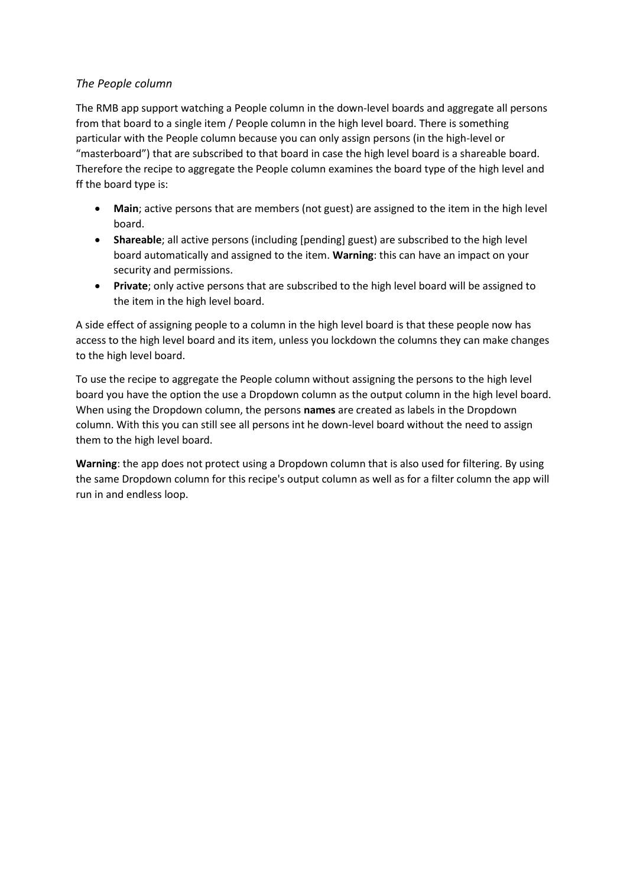#### *The People column*

The RMB app support watching a People column in the down-level boards and aggregate all persons from that board to a single item / People column in the high level board. There is something particular with the People column because you can only assign persons (in the high-level or "masterboard") that are subscribed to that board in case the high level board is a shareable board. Therefore the recipe to aggregate the People column examines the board type of the high level and ff the board type is:

- **Main**; active persons that are members (not guest) are assigned to the item in the high level board.
- **Shareable**; all active persons (including [pending] guest) are subscribed to the high level board automatically and assigned to the item. **Warning**: this can have an impact on your security and permissions.
- **Private**; only active persons that are subscribed to the high level board will be assigned to the item in the high level board.

A side effect of assigning people to a column in the high level board is that these people now has access to the high level board and its item, unless you lockdown the columns they can make changes to the high level board.

To use the recipe to aggregate the People column without assigning the persons to the high level board you have the option the use a Dropdown column as the output column in the high level board. When using the Dropdown column, the persons **names** are created as labels in the Dropdown column. With this you can still see all persons int he down-level board without the need to assign them to the high level board.

**Warning**: the app does not protect using a Dropdown column that is also used for filtering. By using the same Dropdown column for this recipe's output column as well as for a filter column the app will run in and endless loop.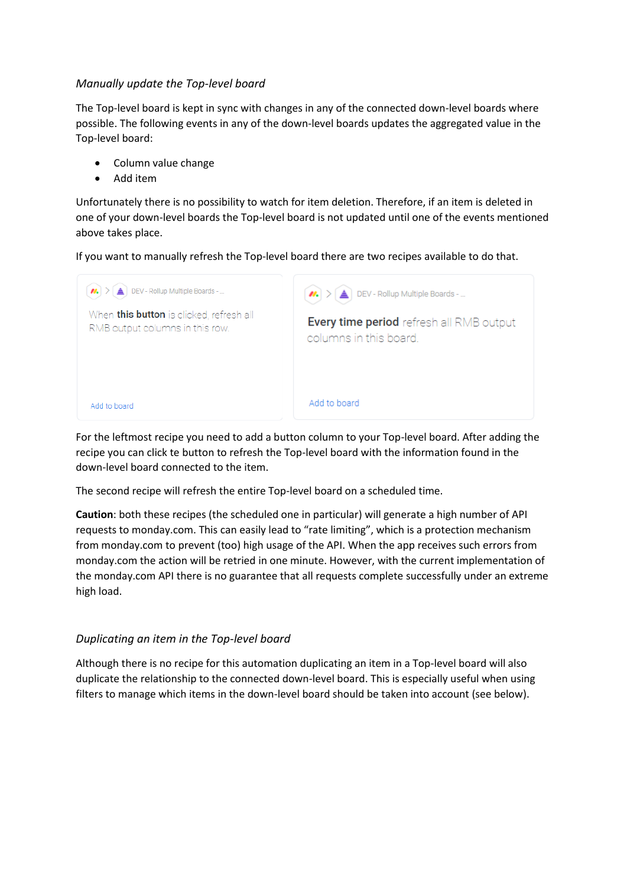#### *Manually update the Top-level board*

The Top-level board is kept in sync with changes in any of the connected down-level boards where possible. The following events in any of the down-level boards updates the aggregated value in the Top-level board:

- Column value change
- Add item

Unfortunately there is no possibility to watch for item deletion. Therefore, if an item is deleted in one of your down-level boards the Top-level board is not updated until one of the events mentioned above takes place.

If you want to manually refresh the Top-level board there are two recipes available to do that.



For the leftmost recipe you need to add a button column to your Top-level board. After adding the recipe you can click te button to refresh the Top-level board with the information found in the down-level board connected to the item.

The second recipe will refresh the entire Top-level board on a scheduled time.

**Caution**: both these recipes (the scheduled one in particular) will generate a high number of API requests to monday.com. This can easily lead to "rate limiting", which is a protection mechanism from monday.com to prevent (too) high usage of the API. When the app receives such errors from monday.com the action will be retried in one minute. However, with the current implementation of the monday.com API there is no guarantee that all requests complete successfully under an extreme high load.

# *Duplicating an item in the Top-level board*

Although there is no recipe for this automation duplicating an item in a Top-level board will also duplicate the relationship to the connected down-level board. This is especially useful when using filters to manage which items in the down-level board should be taken into account (see below).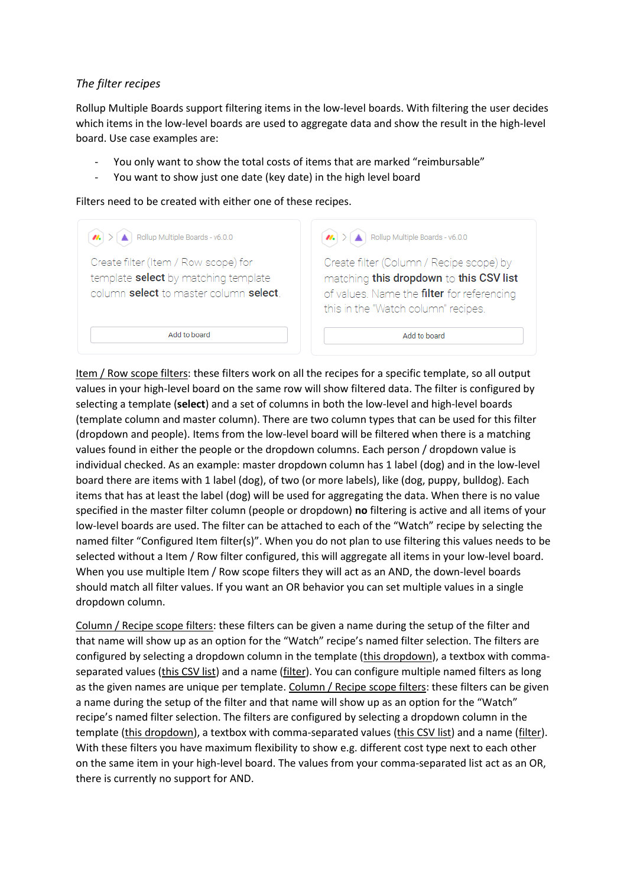## *The filter recipes*

Rollup Multiple Boards support filtering items in the low-level boards. With filtering the user decides which items in the low-level boards are used to aggregate data and show the result in the high-level board. Use case examples are:

- You only want to show the total costs of items that are marked "reimbursable"
- You want to show just one date (key date) in the high level board

Filters need to be created with either one of these recipes.

| Rollup Multiple Boards - v6.0.0                                                                                        | Rollup Multiple Boards - v6.0.0                                                                                                                                          |
|------------------------------------------------------------------------------------------------------------------------|--------------------------------------------------------------------------------------------------------------------------------------------------------------------------|
| Create filter (Item / Row scope) for<br>template select by matching template<br>column select to master column select. | Create filter (Column / Recipe scope) by<br>matching this dropdown to this CSV list<br>of values. Name the filter for referencing<br>this in the "Watch column" recipes. |
| Add to board                                                                                                           | Add to board                                                                                                                                                             |

Item / Row scope filters: these filters work on all the recipes for a specific template, so all output values in your high-level board on the same row will show filtered data. The filter is configured by selecting a template (**select**) and a set of columns in both the low-level and high-level boards (template column and master column). There are two column types that can be used for this filter (dropdown and people). Items from the low-level board will be filtered when there is a matching values found in either the people or the dropdown columns. Each person / dropdown value is individual checked. As an example: master dropdown column has 1 label (dog) and in the low-level board there are items with 1 label (dog), of two (or more labels), like (dog, puppy, bulldog). Each items that has at least the label (dog) will be used for aggregating the data. When there is no value specified in the master filter column (people or dropdown) **no** filtering is active and all items of your low-level boards are used. The filter can be attached to each of the "Watch" recipe by selecting the named filter "Configured Item filter(s)". When you do not plan to use filtering this values needs to be selected without a Item / Row filter configured, this will aggregate all items in your low-level board. When you use multiple Item / Row scope filters they will act as an AND, the down-level boards should match all filter values. If you want an OR behavior you can set multiple values in a single dropdown column.

Column / Recipe scope filters: these filters can be given a name during the setup of the filter and that name will show up as an option for the "Watch" recipe's named filter selection. The filters are configured by selecting a dropdown column in the template (this dropdown), a textbox with commaseparated values (this CSV list) and a name (filter). You can configure multiple named filters as long as the given names are unique per template. Column / Recipe scope filters: these filters can be given a name during the setup of the filter and that name will show up as an option for the "Watch" recipe's named filter selection. The filters are configured by selecting a dropdown column in the template (this dropdown), a textbox with comma-separated values (this CSV list) and a name (filter). With these filters you have maximum flexibility to show e.g. different cost type next to each other on the same item in your high-level board. The values from your comma-separated list act as an OR, there is currently no support for AND.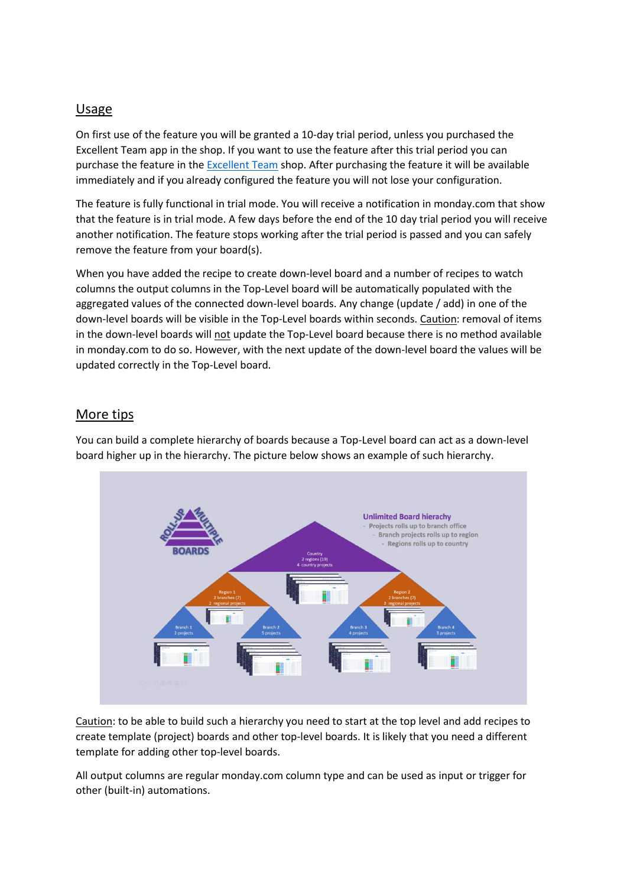## <span id="page-10-0"></span>Usage

On first use of the feature you will be granted a 10-day trial period, unless you purchased the Excellent Team app in the shop. If you want to use the feature after this trial period you can purchase the feature in th[e Excellent Team](https://excellent-team.nl/solutions/) shop. After purchasing the feature it will be available immediately and if you already configured the feature you will not lose your configuration.

The feature is fully functional in trial mode. You will receive a notification in monday.com that show that the feature is in trial mode. A few days before the end of the 10 day trial period you will receive another notification. The feature stops working after the trial period is passed and you can safely remove the feature from your board(s).

When you have added the recipe to create down-level board and a number of recipes to watch columns the output columns in the Top-Level board will be automatically populated with the aggregated values of the connected down-level boards. Any change (update / add) in one of the down-level boards will be visible in the Top-Level boards within seconds. Caution: removal of items in the down-level boards will not update the Top-Level board because there is no method available in monday.com to do so. However, with the next update of the down-level board the values will be updated correctly in the Top-Level board.

## More tips

You can build a complete hierarchy of boards because a Top-Level board can act as a down-level board higher up in the hierarchy. The picture below shows an example of such hierarchy.



Caution: to be able to build such a hierarchy you need to start at the top level and add recipes to create template (project) boards and other top-level boards. It is likely that you need a different template for adding other top-level boards.

All output columns are regular monday.com column type and can be used as input or trigger for other (built-in) automations.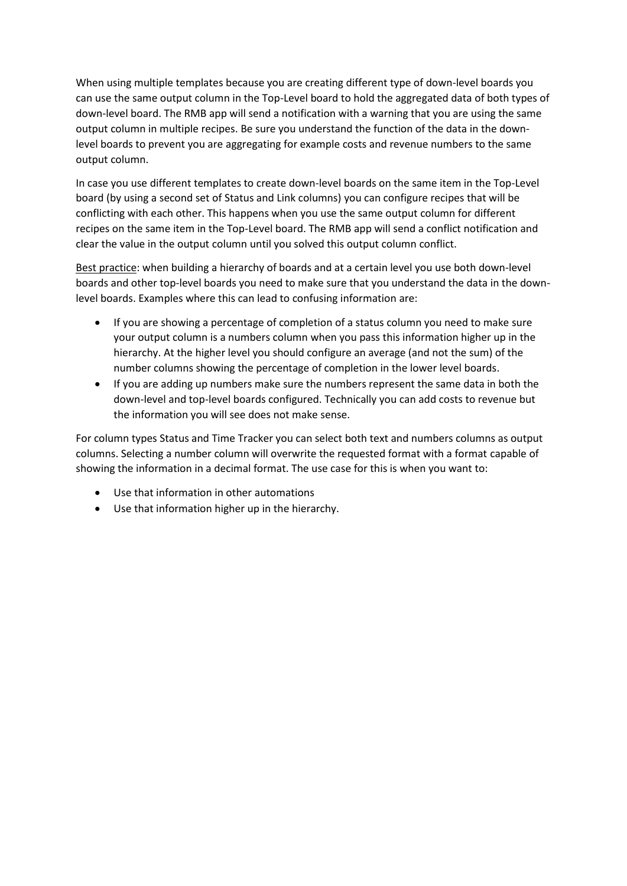When using multiple templates because you are creating different type of down-level boards you can use the same output column in the Top-Level board to hold the aggregated data of both types of down-level board. The RMB app will send a notification with a warning that you are using the same output column in multiple recipes. Be sure you understand the function of the data in the downlevel boards to prevent you are aggregating for example costs and revenue numbers to the same output column.

In case you use different templates to create down-level boards on the same item in the Top-Level board (by using a second set of Status and Link columns) you can configure recipes that will be conflicting with each other. This happens when you use the same output column for different recipes on the same item in the Top-Level board. The RMB app will send a conflict notification and clear the value in the output column until you solved this output column conflict.

Best practice: when building a hierarchy of boards and at a certain level you use both down-level boards and other top-level boards you need to make sure that you understand the data in the downlevel boards. Examples where this can lead to confusing information are:

- If you are showing a percentage of completion of a status column you need to make sure your output column is a numbers column when you pass this information higher up in the hierarchy. At the higher level you should configure an average (and not the sum) of the number columns showing the percentage of completion in the lower level boards.
- If you are adding up numbers make sure the numbers represent the same data in both the down-level and top-level boards configured. Technically you can add costs to revenue but the information you will see does not make sense.

For column types Status and Time Tracker you can select both text and numbers columns as output columns. Selecting a number column will overwrite the requested format with a format capable of showing the information in a decimal format. The use case for this is when you want to:

- Use that information in other automations
- Use that information higher up in the hierarchy.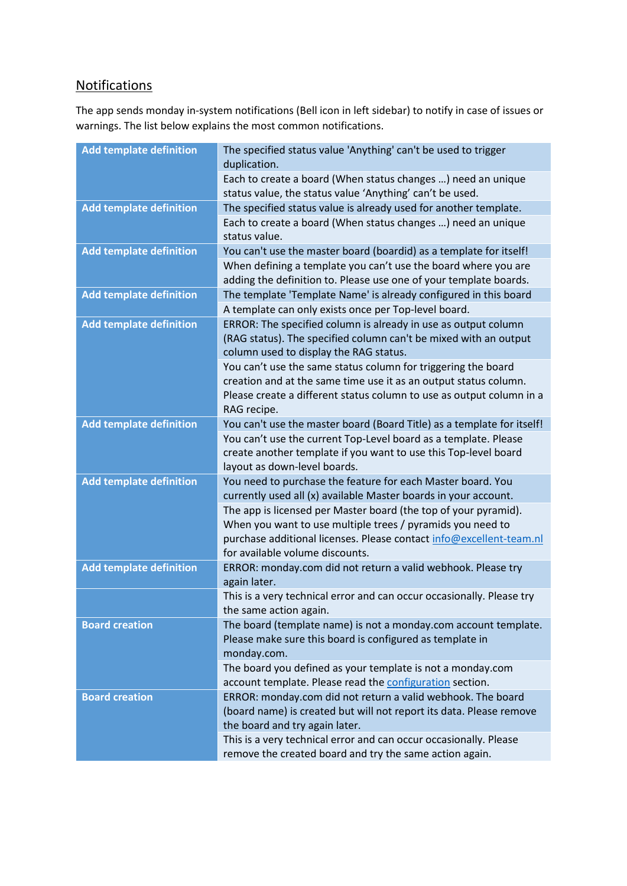# <span id="page-12-0"></span>**Notifications**

The app sends monday in-system notifications (Bell icon in left sidebar) to notify in case of issues or warnings. The list below explains the most common notifications.

| <b>Add template definition</b> | The specified status value 'Anything' can't be used to trigger<br>duplication.                                                                                                                                                          |
|--------------------------------|-----------------------------------------------------------------------------------------------------------------------------------------------------------------------------------------------------------------------------------------|
|                                | Each to create a board (When status changes ) need an unique<br>status value, the status value 'Anything' can't be used.                                                                                                                |
| <b>Add template definition</b> | The specified status value is already used for another template.                                                                                                                                                                        |
|                                | Each to create a board (When status changes ) need an unique<br>status value.                                                                                                                                                           |
| <b>Add template definition</b> | You can't use the master board (boardid) as a template for itself!                                                                                                                                                                      |
|                                | When defining a template you can't use the board where you are<br>adding the definition to. Please use one of your template boards.                                                                                                     |
| <b>Add template definition</b> | The template 'Template Name' is already configured in this board                                                                                                                                                                        |
|                                | A template can only exists once per Top-level board.                                                                                                                                                                                    |
| <b>Add template definition</b> | ERROR: The specified column is already in use as output column<br>(RAG status). The specified column can't be mixed with an output<br>column used to display the RAG status.                                                            |
|                                | You can't use the same status column for triggering the board<br>creation and at the same time use it as an output status column.<br>Please create a different status column to use as output column in a<br>RAG recipe.                |
| <b>Add template definition</b> | You can't use the master board (Board Title) as a template for itself!                                                                                                                                                                  |
|                                | You can't use the current Top-Level board as a template. Please<br>create another template if you want to use this Top-level board<br>layout as down-level boards.                                                                      |
| <b>Add template definition</b> | You need to purchase the feature for each Master board. You<br>currently used all (x) available Master boards in your account.                                                                                                          |
|                                | The app is licensed per Master board (the top of your pyramid).<br>When you want to use multiple trees / pyramids you need to<br>purchase additional licenses. Please contact info@excellent-team.nl<br>for available volume discounts. |
| <b>Add template definition</b> | ERROR: monday.com did not return a valid webhook. Please try<br>again later.                                                                                                                                                            |
|                                | This is a very technical error and can occur occasionally. Please try<br>the same action again.                                                                                                                                         |
| <b>Board creation</b>          | The board (template name) is not a monday.com account template.<br>Please make sure this board is configured as template in<br>monday.com.                                                                                              |
|                                | The board you defined as your template is not a monday.com<br>account template. Please read the configuration section.                                                                                                                  |
| <b>Board creation</b>          | ERROR: monday.com did not return a valid webhook. The board<br>(board name) is created but will not report its data. Please remove<br>the board and try again later.                                                                    |
|                                | This is a very technical error and can occur occasionally. Please<br>remove the created board and try the same action again.                                                                                                            |